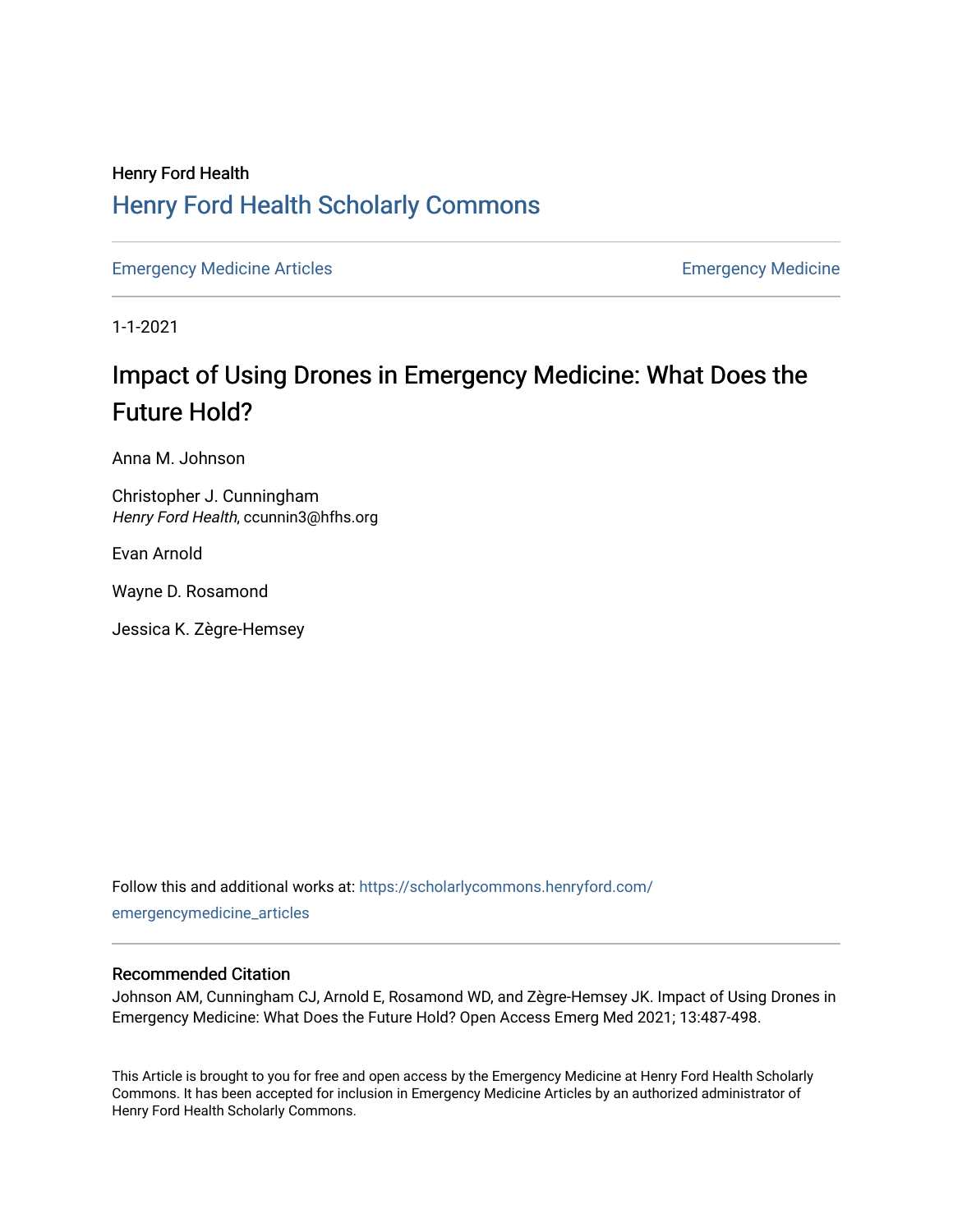# Henry Ford Health [Henry Ford Health Scholarly Commons](https://scholarlycommons.henryford.com/)

[Emergency Medicine Articles](https://scholarlycommons.henryford.com/emergencymedicine_articles) [Emergency Medicine](https://scholarlycommons.henryford.com/emergencymedicine) 

1-1-2021

# Impact of Using Drones in Emergency Medicine: What Does the Future Hold?

Anna M. Johnson

Christopher J. Cunningham Henry Ford Health, ccunnin3@hfhs.org

Evan Arnold

Wayne D. Rosamond

Jessica K. Zègre-Hemsey

Follow this and additional works at: [https://scholarlycommons.henryford.com/](https://scholarlycommons.henryford.com/emergencymedicine_articles?utm_source=scholarlycommons.henryford.com%2Femergencymedicine_articles%2F247&utm_medium=PDF&utm_campaign=PDFCoverPages) [emergencymedicine\\_articles](https://scholarlycommons.henryford.com/emergencymedicine_articles?utm_source=scholarlycommons.henryford.com%2Femergencymedicine_articles%2F247&utm_medium=PDF&utm_campaign=PDFCoverPages) 

#### Recommended Citation

Johnson AM, Cunningham CJ, Arnold E, Rosamond WD, and Zègre-Hemsey JK. Impact of Using Drones in Emergency Medicine: What Does the Future Hold? Open Access Emerg Med 2021; 13:487-498.

This Article is brought to you for free and open access by the Emergency Medicine at Henry Ford Health Scholarly Commons. It has been accepted for inclusion in Emergency Medicine Articles by an authorized administrator of Henry Ford Health Scholarly Commons.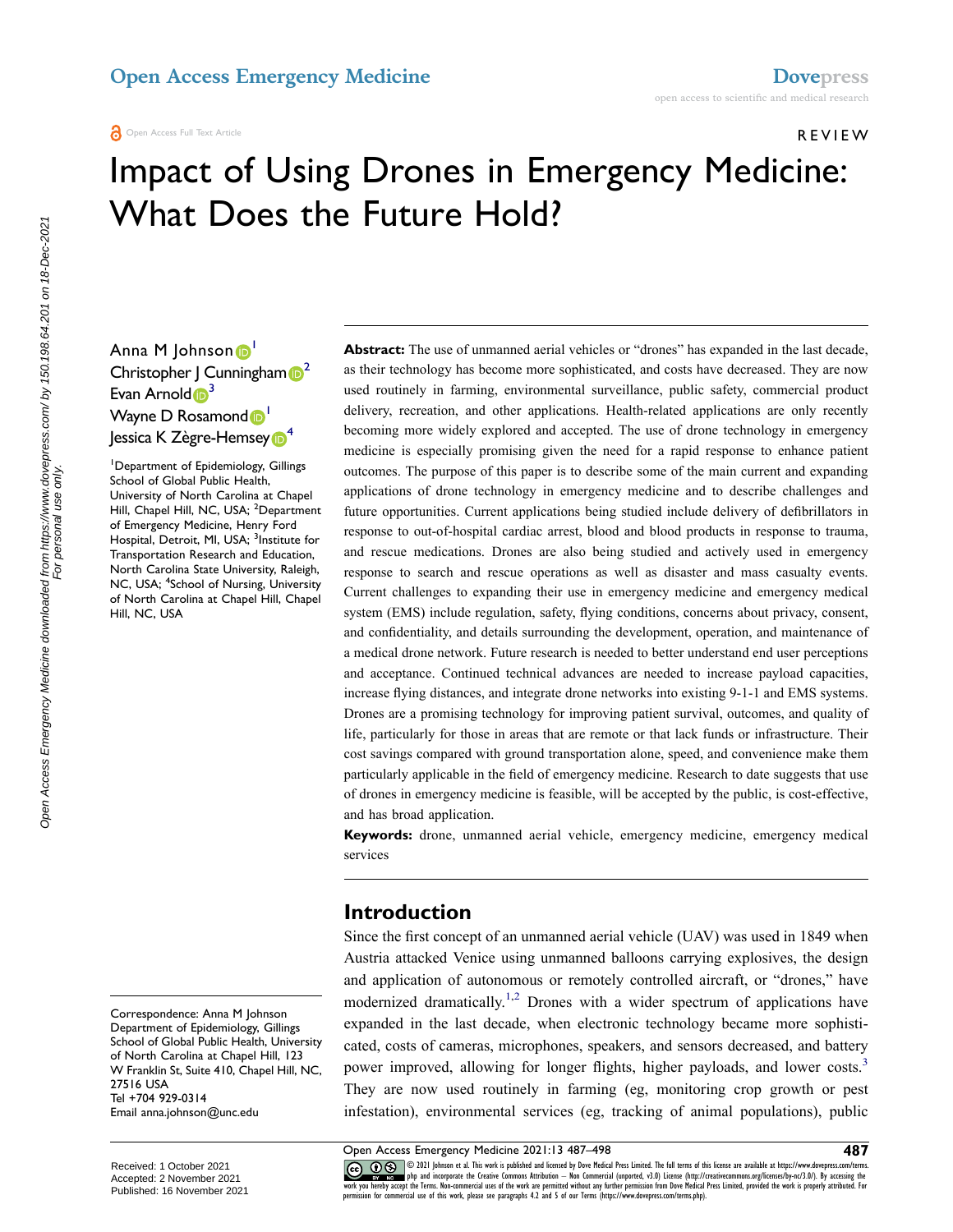#### Open Access Full Text Article

REVIEW

# Impact of Using Drones in Emergency Medicine: What Does the Future Hold?

Anna M Johnson D Christopher J Cunningham  $\mathbb{D}^2$ Evan Arnold  $\mathbf{D}^3$ Wayne D Rosamond<sup>1</sup> **Jessica K Zègre-Hemsey** 

1 Department of Epidemiology, Gillings School of Global Public Health, University of North Carolina at Chapel Hill, Chapel Hill, NC, USA; <sup>2</sup>Department of Emergency Medicine, Henry Ford Hospital, Detroit, MI, USA; <sup>3</sup>Institute for Transportation Research and Education, North Carolina State University, Raleigh, NC, USA; <sup>4</sup>School of Nursing, University of North Carolina at Chapel Hill, Chapel Hill, NC, USA

Correspondence: Anna M Johnson Department of Epidemiology, Gillings School of Global Public Health, University of North Carolina at Chapel Hill, 123 W Franklin St, Suite 410, Chapel Hill, NC, 27516 USA Tel +704 929-0314 Email anna.johnson@unc.edu

**Abstract:** The use of unmanned aerial vehicles or "drones" has expanded in the last decade, as their technology has become more sophisticated, and costs have decreased. They are now used routinely in farming, environmental surveillance, public safety, commercial product delivery, recreation, and other applications. Health-related applications are only recently becoming more widely explored and accepted. The use of drone technology in emergency medicine is especially promising given the need for a rapid response to enhance patient outcomes. The purpose of this paper is to describe some of the main current and expanding applications of drone technology in emergency medicine and to describe challenges and future opportunities. Current applications being studied include delivery of defibrillators in response to out-of-hospital cardiac arrest, blood and blood products in response to trauma, and rescue medications. Drones are also being studied and actively used in emergency response to search and rescue operations as well as disaster and mass casualty events. Current challenges to expanding their use in emergency medicine and emergency medical system (EMS) include regulation, safety, flying conditions, concerns about privacy, consent, and confidentiality, and details surrounding the development, operation, and maintenance of a medical drone network. Future research is needed to better understand end user perceptions and acceptance. Continued technical advances are needed to increase payload capacities, increase flying distances, and integrate drone networks into existing 9-1-1 and EMS systems. Drones are a promising technology for improving patient survival, outcomes, and quality of life, particularly for those in areas that are remote or that lack funds or infrastructure. Their cost savings compared with ground transportation alone, speed, and convenience make them particularly applicable in the field of emergency medicine. Research to date suggests that use of drones in emergency medicine is feasible, will be accepted by the public, is cost-effective, and has broad application.

**Keywords:** drone, unmanned aerial vehicle, emergency medicine, emergency medical services

#### **Introduction**

Since the first concept of an unmanned aerial vehicle (UAV) was used in 1849 when Austria attacked Venice using unmanned balloons carrying explosives, the design and application of autonomous or remotely controlled aircraft, or "drones," have modernized dramatically.<sup>1,2</sup> Drones with a wider spectrum of applications have expanded in the last decade, when electronic technology became more sophisticated, costs of cameras, microphones, speakers, and sensors decreased, and battery power improved, allowing for longer flights, higher payloads, and lower costs.<sup>3</sup> They are now used routinely in farming (eg, monitoring crop growth or pest infestation), environmental services (eg, tracking of animal populations), public

The state of the and incorporate the Creative Commons Attribution — Non Commercial (unported, v3.0) License (http://creativecommons.org/licenses/by-nc/3.0/). By accessing the work is properly attributed. For expective unde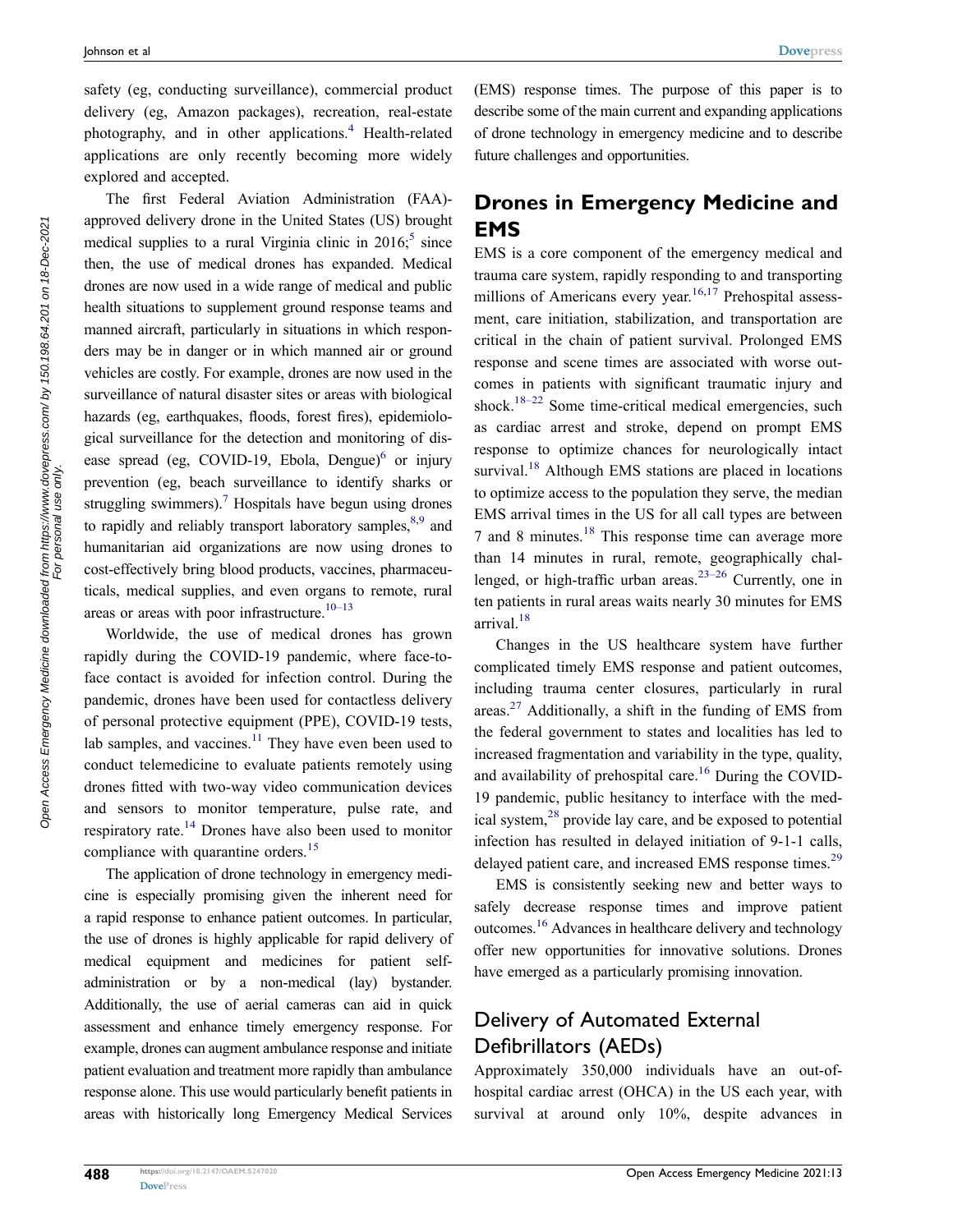safety (eg, conducting surveillance), commercial product delivery (eg, Amazon packages), recreation, real-estate photography, and in other applications.<sup>4</sup> Health-related applications are only recently becoming more widely explored and accepted.

The first Federal Aviation Administration (FAA) approved delivery drone in the United States (US) brought medical supplies to a rural Virginia clinic in  $2016$ ;<sup>5</sup> since then, the use of medical drones has expanded. Medical drones are now used in a wide range of medical and public health situations to supplement ground response teams and manned aircraft, particularly in situations in which responders may be in danger or in which manned air or ground vehicles are costly. For example, drones are now used in the surveillance of natural disaster sites or areas with biological hazards (eg, earthquakes, floods, forest fires), epidemiological surveillance for the detection and monitoring of disease spread (eg, COVID-19, Ebola, Dengue) $<sup>6</sup>$  or injury</sup> prevention (eg, beach surveillance to identify sharks or struggling swimmers).<sup>7</sup> Hospitals have begun using drones to rapidly and reliably transport laboratory samples.<sup>8,9</sup> and humanitarian aid organizations are now using drones to cost-effectively bring blood products, vaccines, pharmaceuticals, medical supplies, and even organs to remote, rural areas or areas with poor infrastructure. $10-13$ 

Worldwide, the use of medical drones has grown rapidly during the COVID-19 pandemic, where face-toface contact is avoided for infection control. During the pandemic, drones have been used for contactless delivery of personal protective equipment (PPE), COVID-19 tests, lab samples, and vaccines. $11$  They have even been used to conduct telemedicine to evaluate patients remotely using drones fitted with two-way video communication devices and sensors to monitor temperature, pulse rate, and respiratory rate.14 Drones have also been used to monitor compliance with quarantine orders.<sup>15</sup>

The application of drone technology in emergency medicine is especially promising given the inherent need for a rapid response to enhance patient outcomes. In particular, the use of drones is highly applicable for rapid delivery of medical equipment and medicines for patient selfadministration or by a non-medical (lay) bystander. Additionally, the use of aerial cameras can aid in quick assessment and enhance timely emergency response. For example, drones can augment ambulance response and initiate patient evaluation and treatment more rapidly than ambulance response alone. This use would particularly benefit patients in areas with historically long Emergency Medical Services (EMS) response times. The purpose of this paper is to describe some of the main current and expanding applications of drone technology in emergency medicine and to describe future challenges and opportunities.

### **Drones in Emergency Medicine and EMS**

EMS is a core component of the emergency medical and trauma care system, rapidly responding to and transporting millions of Americans every year.<sup>16,17</sup> Prehospital assessment, care initiation, stabilization, and transportation are critical in the chain of patient survival. Prolonged EMS response and scene times are associated with worse outcomes in patients with significant traumatic injury and shock.<sup>18–22</sup> Some time-critical medical emergencies, such as cardiac arrest and stroke, depend on prompt EMS response to optimize chances for neurologically intact survival.<sup>18</sup> Although EMS stations are placed in locations to optimize access to the population they serve, the median EMS arrival times in the US for all call types are between 7 and 8 minutes.18 This response time can average more than 14 minutes in rural, remote, geographically challenged, or high-traffic urban areas.<sup>23–26</sup> Currently, one in ten patients in rural areas waits nearly 30 minutes for EMS arrival. $18$ 

Changes in the US healthcare system have further complicated timely EMS response and patient outcomes, including trauma center closures, particularly in rural areas.<sup>27</sup> Additionally, a shift in the funding of EMS from the federal government to states and localities has led to increased fragmentation and variability in the type, quality, and availability of prehospital care.<sup>16</sup> During the COVID-19 pandemic, public hesitancy to interface with the medical system,28 provide lay care, and be exposed to potential infection has resulted in delayed initiation of 9-1-1 calls, delayed patient care, and increased EMS response times.<sup>29</sup>

EMS is consistently seeking new and better ways to safely decrease response times and improve patient outcomes.16 Advances in healthcare delivery and technology offer new opportunities for innovative solutions. Drones have emerged as a particularly promising innovation.

# Delivery of Automated External Defibrillators (AEDs)

Approximately 350,000 individuals have an out-ofhospital cardiac arrest (OHCA) in the US each year, with survival at around only 10%, despite advances in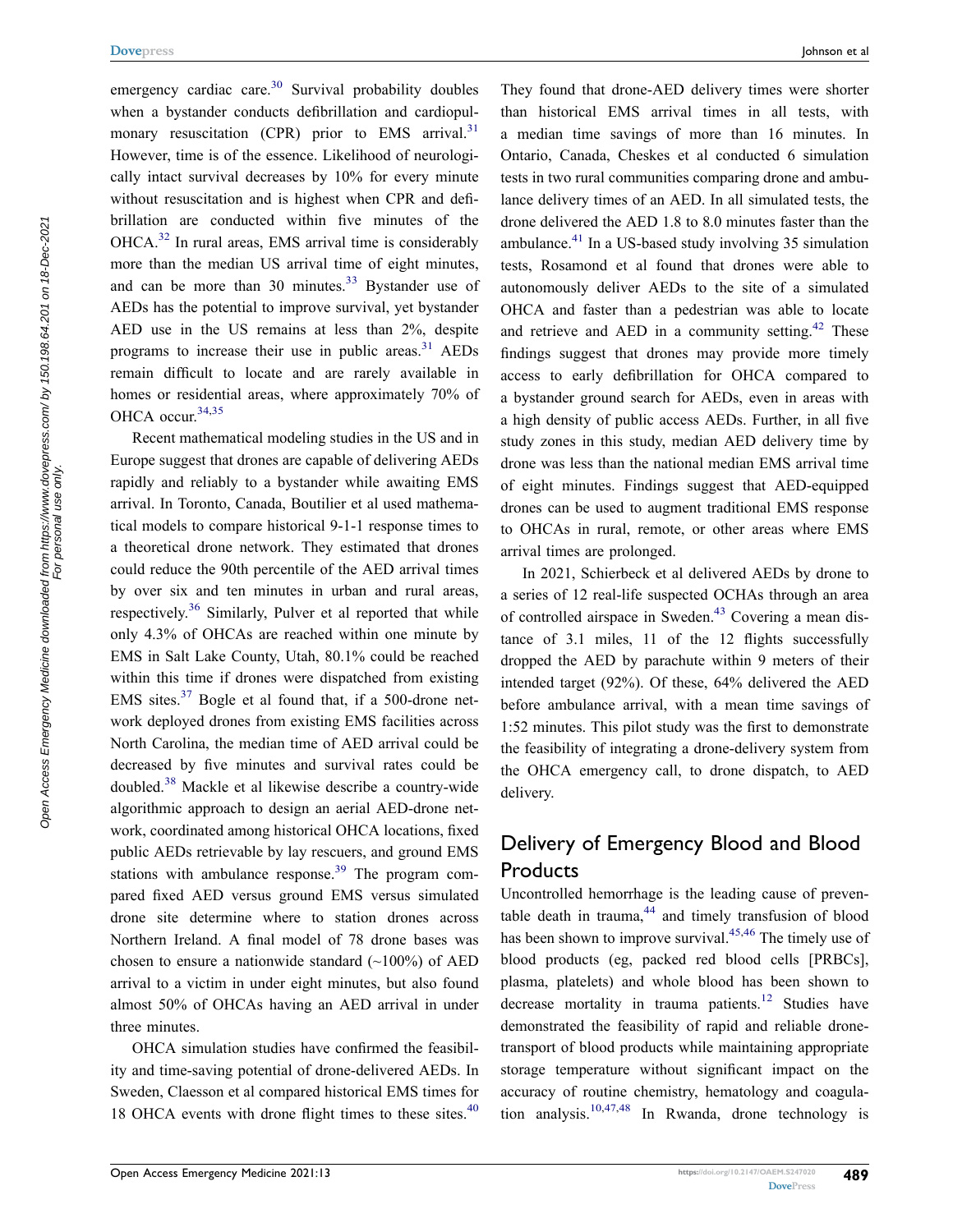emergency cardiac care. $30$  Survival probability doubles when a bystander conducts defibrillation and cardiopulmonary resuscitation (CPR) prior to EMS arrival. $31$ However, time is of the essence. Likelihood of neurologically intact survival decreases by 10% for every minute without resuscitation and is highest when CPR and defibrillation are conducted within five minutes of the OHCA.32 In rural areas, EMS arrival time is considerably more than the median US arrival time of eight minutes, and can be more than 30 minutes. $33$  Bystander use of AEDs has the potential to improve survival, yet bystander AED use in the US remains at less than 2%, despite programs to increase their use in public areas. $31$  AEDs remain difficult to locate and are rarely available in homes or residential areas, where approximately 70% of OHCA occur.  $34,35$ 

Recent mathematical modeling studies in the US and in Europe suggest that drones are capable of delivering AEDs rapidly and reliably to a bystander while awaiting EMS arrival. In Toronto, Canada, Boutilier et al used mathematical models to compare historical 9-1-1 response times to a theoretical drone network. They estimated that drones could reduce the 90th percentile of the AED arrival times by over six and ten minutes in urban and rural areas, respectively.<sup>36</sup> Similarly, Pulver et al reported that while only 4.3% of OHCAs are reached within one minute by EMS in Salt Lake County, Utah, 80.1% could be reached within this time if drones were dispatched from existing EMS sites.37 Bogle et al found that, if a 500-drone network deployed drones from existing EMS facilities across North Carolina, the median time of AED arrival could be decreased by five minutes and survival rates could be doubled.38 Mackle et al likewise describe a country-wide algorithmic approach to design an aerial AED-drone network, coordinated among historical OHCA locations, fixed public AEDs retrievable by lay rescuers, and ground EMS stations with ambulance response.<sup>39</sup> The program compared fixed AED versus ground EMS versus simulated drone site determine where to station drones across Northern Ireland. A final model of 78 drone bases was chosen to ensure a nationwide standard  $(\sim 100\%)$  of AED arrival to a victim in under eight minutes, but also found almost 50% of OHCAs having an AED arrival in under three minutes.

OHCA simulation studies have confirmed the feasibility and time-saving potential of drone-delivered AEDs. In Sweden, Claesson et al compared historical EMS times for 18 OHCA events with drone flight times to these sites.<sup>40</sup>

They found that drone-AED delivery times were shorter than historical EMS arrival times in all tests, with a median time savings of more than 16 minutes. In Ontario, Canada, Cheskes et al conducted 6 simulation tests in two rural communities comparing drone and ambulance delivery times of an AED. In all simulated tests, the drone delivered the AED 1.8 to 8.0 minutes faster than the ambulance. $^{41}$  In a US-based study involving 35 simulation tests, Rosamond et al found that drones were able to autonomously deliver AEDs to the site of a simulated OHCA and faster than a pedestrian was able to locate and retrieve and AED in a community setting.<sup>42</sup> These findings suggest that drones may provide more timely access to early defibrillation for OHCA compared to a bystander ground search for AEDs, even in areas with a high density of public access AEDs. Further, in all five study zones in this study, median AED delivery time by drone was less than the national median EMS arrival time of eight minutes. Findings suggest that AED-equipped drones can be used to augment traditional EMS response **Dovepress** Johnson et al

> In 2021, Schierbeck et al delivered AEDs by drone to a series of 12 real-life suspected OCHAs through an area of controlled airspace in Sweden.<sup>43</sup> Covering a mean distance of 3.1 miles, 11 of the 12 flights successfully dropped the AED by parachute within 9 meters of their intended target (92%). Of these, 64% delivered the AED before ambulance arrival, with a mean time savings of 1:52 minutes. This pilot study was the first to demonstrate the feasibility of integrating a drone-delivery system from the OHCA emergency call, to drone dispatch, to AED delivery.

to OHCAs in rural, remote, or other areas where EMS

arrival times are prolonged.

## Delivery of Emergency Blood and Blood **Products**

Uncontrolled hemorrhage is the leading cause of preventable death in trauma, $44$  and timely transfusion of blood has been shown to improve survival.<sup>45,46</sup> The timely use of blood products (eg, packed red blood cells [PRBCs], plasma, platelets) and whole blood has been shown to decrease mortality in trauma patients.<sup>12</sup> Studies have demonstrated the feasibility of rapid and reliable dronetransport of blood products while maintaining appropriate storage temperature without significant impact on the accuracy of routine chemistry, hematology and coagulation analysis.<sup>10,47,48</sup> In Rwanda, drone technology is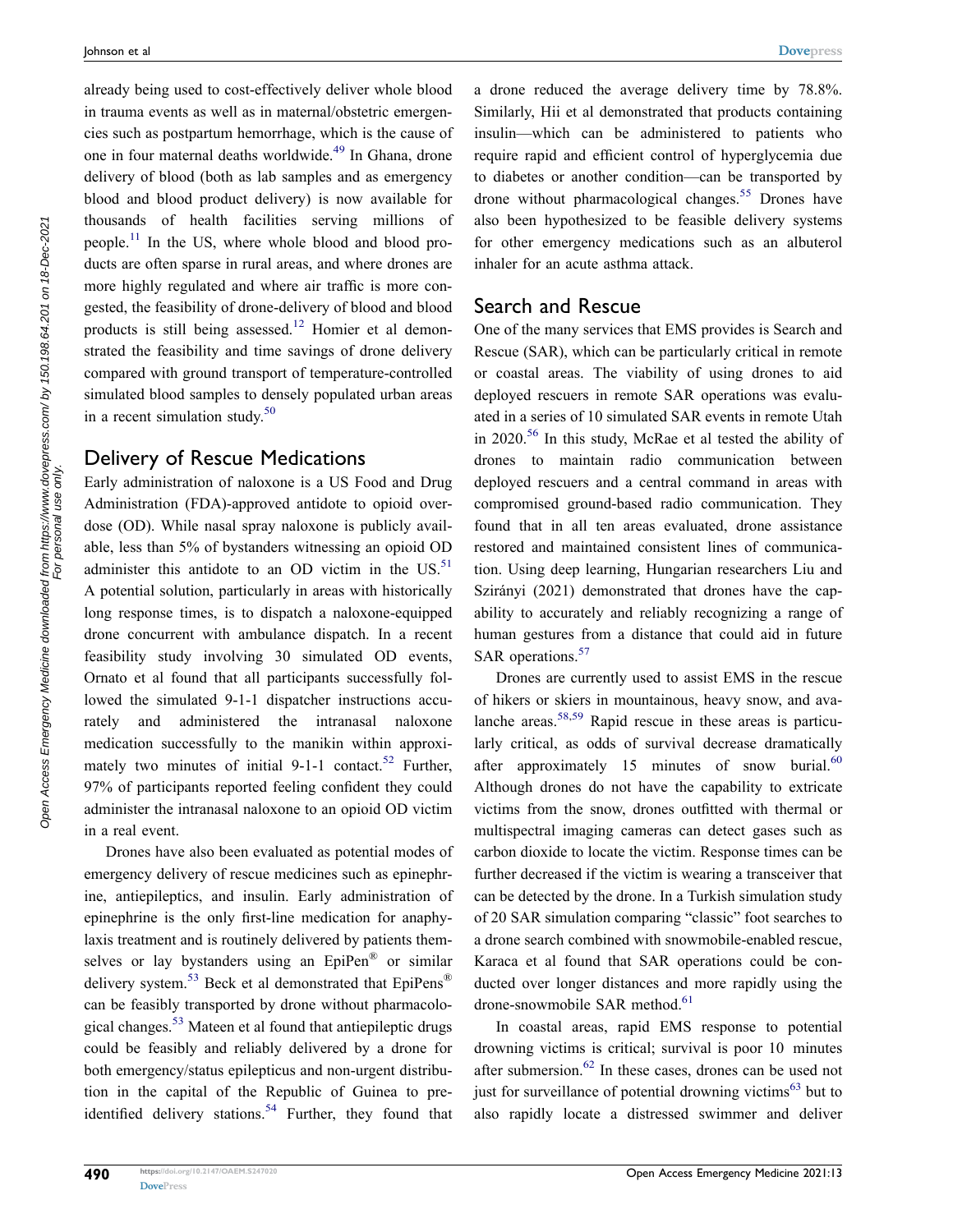already being used to cost-effectively deliver whole blood in trauma events as well as in maternal/obstetric emergencies such as postpartum hemorrhage, which is the cause of one in four maternal deaths worldwide.49 In Ghana, drone delivery of blood (both as lab samples and as emergency blood and blood product delivery) is now available for thousands of health facilities serving millions of people.<sup>11</sup> In the US, where whole blood and blood products are often sparse in rural areas, and where drones are more highly regulated and where air traffic is more congested, the feasibility of drone-delivery of blood and blood products is still being assessed.<sup>12</sup> Homier et al demonstrated the feasibility and time savings of drone delivery compared with ground transport of temperature-controlled simulated blood samples to densely populated urban areas in a recent simulation study.<sup>50</sup>

#### Delivery of Rescue Medications

Early administration of naloxone is a US Food and Drug Administration (FDA)-approved antidote to opioid overdose (OD). While nasal spray naloxone is publicly available, less than 5% of bystanders witnessing an opioid OD administer this antidote to an OD victim in the  $US$ <sup>51</sup> A potential solution, particularly in areas with historically long response times, is to dispatch a naloxone-equipped drone concurrent with ambulance dispatch. In a recent feasibility study involving 30 simulated OD events, Ornato et al found that all participants successfully followed the simulated 9-1-1 dispatcher instructions accurately and administered the intranasal naloxone medication successfully to the manikin within approximately two minutes of initial 9-1-1 contact.<sup>52</sup> Further, 97% of participants reported feeling confident they could administer the intranasal naloxone to an opioid OD victim in a real event.

Drones have also been evaluated as potential modes of emergency delivery of rescue medicines such as epinephrine, antiepileptics, and insulin. Early administration of epinephrine is the only first-line medication for anaphylaxis treatment and is routinely delivered by patients themselves or lay bystanders using an EpiPen® or similar delivery system.<sup>53</sup> Beck et al demonstrated that  $EpiPens^{\circledR}$ can be feasibly transported by drone without pharmacological changes.53 Mateen et al found that antiepileptic drugs could be feasibly and reliably delivered by a drone for both emergency/status epilepticus and non-urgent distribution in the capital of the Republic of Guinea to preidentified delivery stations.<sup>54</sup> Further, they found that a drone reduced the average delivery time by 78.8%. Similarly, Hii et al demonstrated that products containing insulin—which can be administered to patients who require rapid and efficient control of hyperglycemia due to diabetes or another condition—can be transported by drone without pharmacological changes.<sup>55</sup> Drones have also been hypothesized to be feasible delivery systems for other emergency medications such as an albuterol inhaler for an acute asthma attack.

#### Search and Rescue

One of the many services that EMS provides is Search and Rescue (SAR), which can be particularly critical in remote or coastal areas. The viability of using drones to aid deployed rescuers in remote SAR operations was evaluated in a series of 10 simulated SAR events in remote Utah in 2020.56 In this study, McRae et al tested the ability of drones to maintain radio communication between deployed rescuers and a central command in areas with compromised ground-based radio communication. They found that in all ten areas evaluated, drone assistance restored and maintained consistent lines of communication. Using deep learning, Hungarian researchers Liu and Szirányi (2021) demonstrated that drones have the capability to accurately and reliably recognizing a range of human gestures from a distance that could aid in future SAR operations.<sup>57</sup>

Drones are currently used to assist EMS in the rescue of hikers or skiers in mountainous, heavy snow, and avalanche areas.<sup>58,59</sup> Rapid rescue in these areas is particularly critical, as odds of survival decrease dramatically after approximately 15 minutes of snow burial. $60$ Although drones do not have the capability to extricate victims from the snow, drones outfitted with thermal or multispectral imaging cameras can detect gases such as carbon dioxide to locate the victim. Response times can be further decreased if the victim is wearing a transceiver that can be detected by the drone. In a Turkish simulation study of 20 SAR simulation comparing "classic" foot searches to a drone search combined with snowmobile-enabled rescue, Karaca et al found that SAR operations could be conducted over longer distances and more rapidly using the drone-snowmobile SAR method.<sup>61</sup>

In coastal areas, rapid EMS response to potential drowning victims is critical; survival is poor 10 minutes after submersion.<sup>62</sup> In these cases, drones can be used not just for surveillance of potential drowning victims $<sup>63</sup>$  but to</sup> also rapidly locate a distressed swimmer and deliver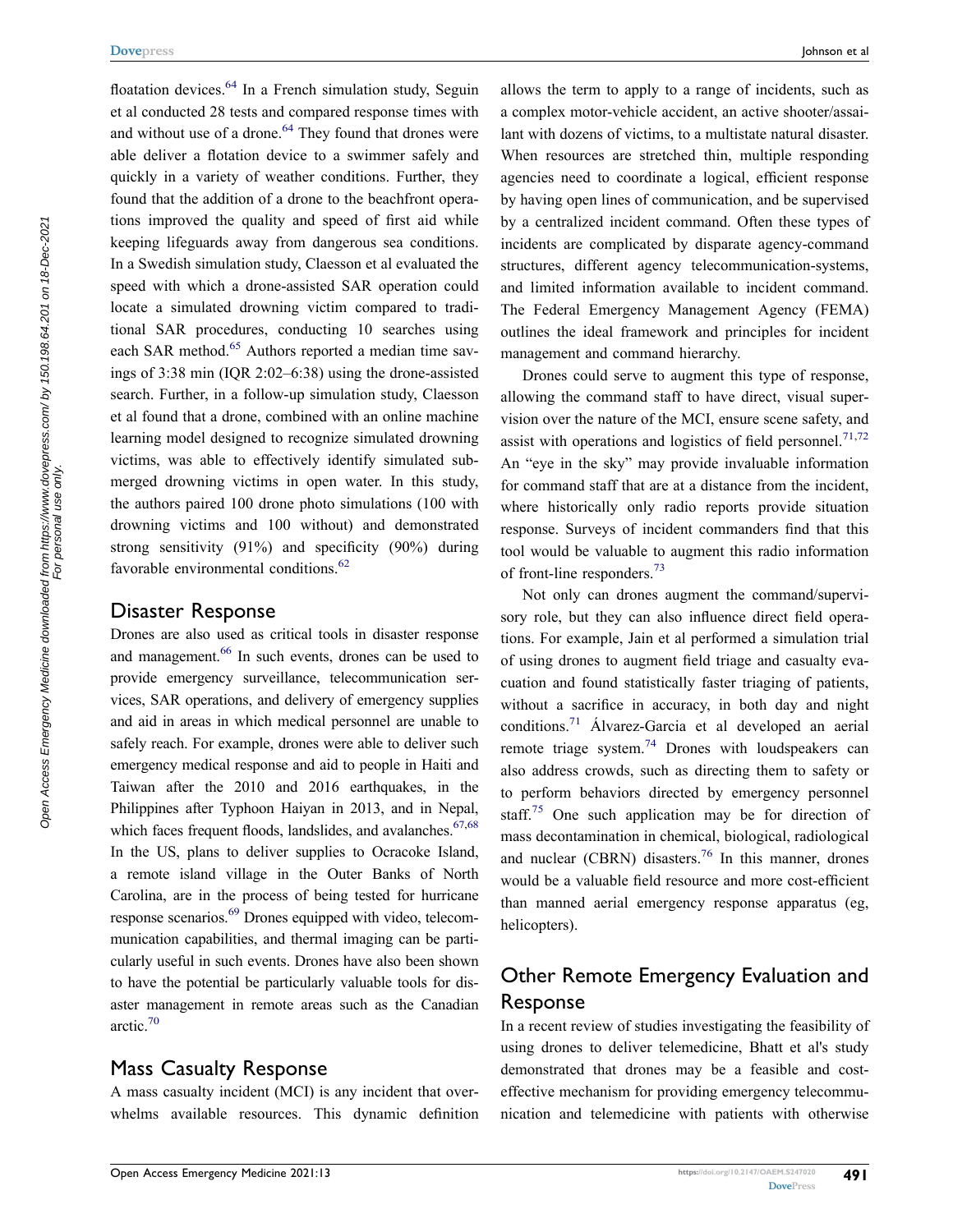floatation devices.<sup>64</sup> In a French simulation study, Seguin et al conducted 28 tests and compared response times with and without use of a drone.<sup>64</sup> They found that drones were able deliver a flotation device to a swimmer safely and quickly in a variety of weather conditions. Further, they found that the addition of a drone to the beachfront operations improved the quality and speed of first aid while keeping lifeguards away from dangerous sea conditions. In a Swedish simulation study, Claesson et al evaluated the speed with which a drone-assisted SAR operation could locate a simulated drowning victim compared to traditional SAR procedures, conducting 10 searches using each SAR method.<sup>65</sup> Authors reported a median time savings of 3:38 min (IQR 2:02–6:38) using the drone-assisted search. Further, in a follow-up simulation study, Claesson et al found that a drone, combined with an online machine learning model designed to recognize simulated drowning victims, was able to effectively identify simulated submerged drowning victims in open water. In this study, the authors paired 100 drone photo simulations (100 with drowning victims and 100 without) and demonstrated strong sensitivity (91%) and specificity (90%) during favorable environmental conditions.<sup>62</sup>

#### Disaster Response

Drones are also used as critical tools in disaster response and management.<sup>66</sup> In such events, drones can be used to provide emergency surveillance, telecommunication services, SAR operations, and delivery of emergency supplies and aid in areas in which medical personnel are unable to safely reach. For example, drones were able to deliver such emergency medical response and aid to people in Haiti and Taiwan after the 2010 and 2016 earthquakes, in the Philippines after Typhoon Haiyan in 2013, and in Nepal, which faces frequent floods, landslides, and avalanches. $67,68$ In the US, plans to deliver supplies to Ocracoke Island, a remote island village in the Outer Banks of North Carolina, are in the process of being tested for hurricane response scenarios.<sup>69</sup> Drones equipped with video, telecommunication capabilities, and thermal imaging can be particularly useful in such events. Drones have also been shown to have the potential be particularly valuable tools for disaster management in remote areas such as the Canadian arctic.70

#### Mass Casualty Response

A mass casualty incident (MCI) is any incident that overwhelms available resources. This dynamic definition allows the term to apply to a range of incidents, such as a complex motor-vehicle accident, an active shooter/assailant with dozens of victims, to a multistate natural disaster. When resources are stretched thin, multiple responding agencies need to coordinate a logical, efficient response by having open lines of communication, and be supervised by a centralized incident command. Often these types of incidents are complicated by disparate agency-command structures, different agency telecommunication-systems, and limited information available to incident command. The Federal Emergency Management Agency (FEMA) outlines the ideal framework and principles for incident management and command hierarchy.

Drones could serve to augment this type of response, allowing the command staff to have direct, visual supervision over the nature of the MCI, ensure scene safety, and assist with operations and logistics of field personnel.<sup>71,72</sup> An "eye in the sky" may provide invaluable information for command staff that are at a distance from the incident, where historically only radio reports provide situation response. Surveys of incident commanders find that this tool would be valuable to augment this radio information of front-line responders.73

Not only can drones augment the command/supervisory role, but they can also influence direct field operations. For example, Jain et al performed a simulation trial of using drones to augment field triage and casualty evacuation and found statistically faster triaging of patients, without a sacrifice in accuracy, in both day and night conditions.71 Álvarez-Garcia et al developed an aerial remote triage system.<sup>74</sup> Drones with loudspeakers can also address crowds, such as directing them to safety or to perform behaviors directed by emergency personnel staff.<sup>75</sup> One such application may be for direction of mass decontamination in chemical, biological, radiological and nuclear (CBRN) disasters.<sup>76</sup> In this manner, drones would be a valuable field resource and more cost-efficient than manned aerial emergency response apparatus (eg, helicopters).

# Other Remote Emergency Evaluation and Response

In a recent review of studies investigating the feasibility of using drones to deliver telemedicine, Bhatt et al's study demonstrated that drones may be a feasible and costeffective mechanism for providing emergency telecommunication and telemedicine with patients with otherwise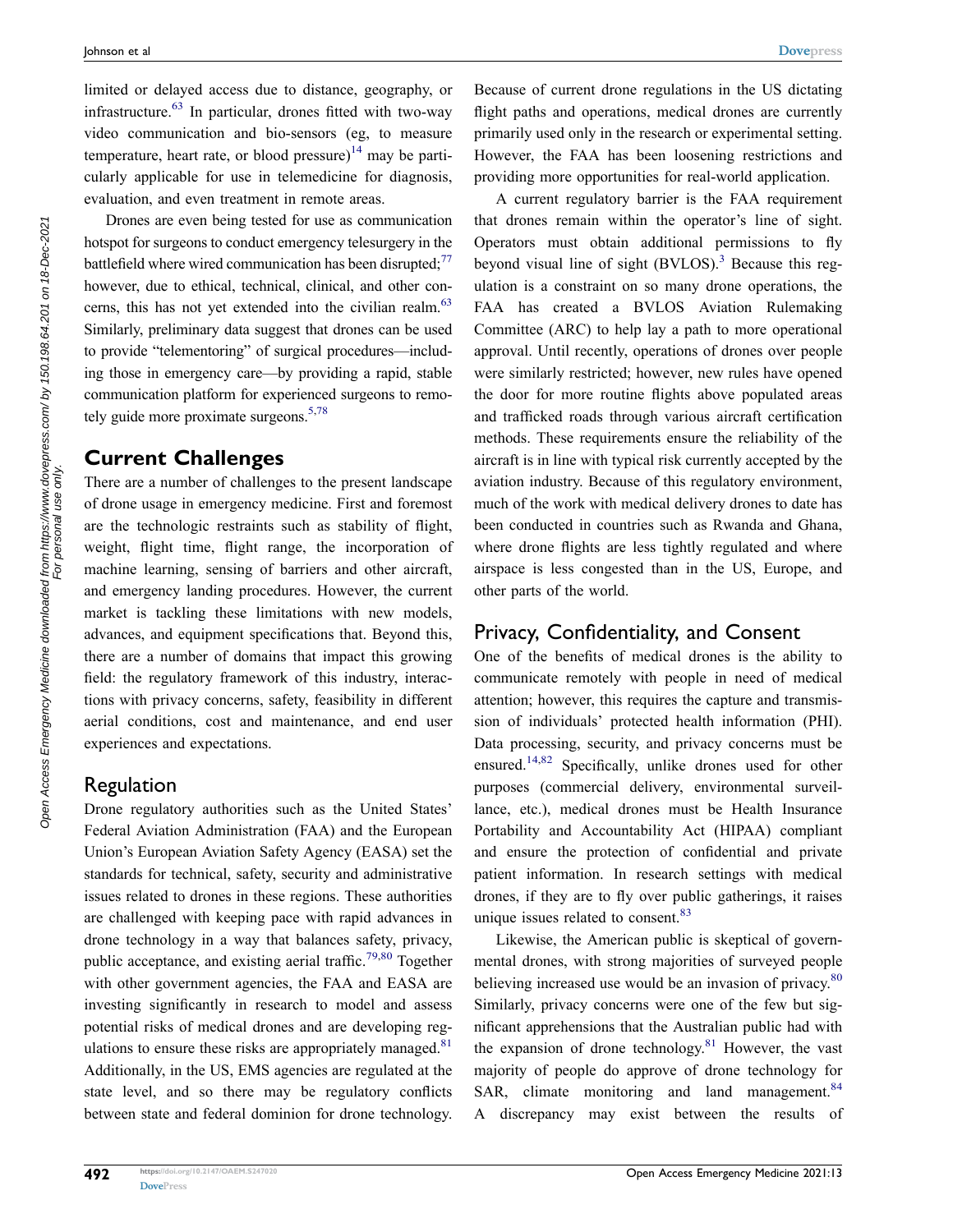limited or delayed access due to distance, geography, or infrastructure.63 In particular, drones fitted with two-way video communication and bio-sensors (eg, to measure temperature, heart rate, or blood pressure)<sup>14</sup> may be particularly applicable for use in telemedicine for diagnosis, evaluation, and even treatment in remote areas.

Drones are even being tested for use as communication hotspot for surgeons to conduct emergency telesurgery in the battlefield where wired communication has been disrupted; $^{77}$ however, due to ethical, technical, clinical, and other concerns, this has not yet extended into the civilian realm.<sup>63</sup> Similarly, preliminary data suggest that drones can be used to provide "telementoring" of surgical procedures—including those in emergency care—by providing a rapid, stable communication platform for experienced surgeons to remotely guide more proximate surgeons. $5,78$ 

#### **Current Challenges**

There are a number of challenges to the present landscape of drone usage in emergency medicine. First and foremost are the technologic restraints such as stability of flight, weight, flight time, flight range, the incorporation of machine learning, sensing of barriers and other aircraft, and emergency landing procedures. However, the current market is tackling these limitations with new models, advances, and equipment specifications that. Beyond this, there are a number of domains that impact this growing field: the regulatory framework of this industry, interactions with privacy concerns, safety, feasibility in different aerial conditions, cost and maintenance, and end user experiences and expectations.

#### Regulation

Drone regulatory authorities such as the United States' Federal Aviation Administration (FAA) and the European Union's European Aviation Safety Agency (EASA) set the standards for technical, safety, security and administrative issues related to drones in these regions. These authorities are challenged with keeping pace with rapid advances in drone technology in a way that balances safety, privacy, public acceptance, and existing aerial traffic.<sup>79,80</sup> Together with other government agencies, the FAA and EASA are investing significantly in research to model and assess potential risks of medical drones and are developing regulations to ensure these risks are appropriately managed. $81$ Additionally, in the US, EMS agencies are regulated at the state level, and so there may be regulatory conflicts between state and federal dominion for drone technology. Because of current drone regulations in the US dictating flight paths and operations, medical drones are currently primarily used only in the research or experimental setting. However, the FAA has been loosening restrictions and providing more opportunities for real-world application.

A current regulatory barrier is the FAA requirement that drones remain within the operator's line of sight. Operators must obtain additional permissions to fly beyond visual line of sight  $(BVLOS)^3$ . Because this regulation is a constraint on so many drone operations, the FAA has created a BVLOS Aviation Rulemaking Committee (ARC) to help lay a path to more operational approval. Until recently, operations of drones over people were similarly restricted; however, new rules have opened the door for more routine flights above populated areas and trafficked roads through various aircraft certification methods. These requirements ensure the reliability of the aircraft is in line with typical risk currently accepted by the aviation industry. Because of this regulatory environment, much of the work with medical delivery drones to date has been conducted in countries such as Rwanda and Ghana, where drone flights are less tightly regulated and where airspace is less congested than in the US, Europe, and other parts of the world.

#### Privacy, Confidentiality, and Consent

One of the benefits of medical drones is the ability to communicate remotely with people in need of medical attention; however, this requires the capture and transmission of individuals' protected health information (PHI). Data processing, security, and privacy concerns must be ensured.14,82 Specifically, unlike drones used for other purposes (commercial delivery, environmental surveillance, etc.), medical drones must be Health Insurance Portability and Accountability Act (HIPAA) compliant and ensure the protection of confidential and private patient information. In research settings with medical drones, if they are to fly over public gatherings, it raises unique issues related to consent.<sup>83</sup>

Likewise, the American public is skeptical of governmental drones, with strong majorities of surveyed people believing increased use would be an invasion of privacy.<sup>80</sup> Similarly, privacy concerns were one of the few but significant apprehensions that the Australian public had with the expansion of drone technology.<sup>81</sup> However, the vast majority of people do approve of drone technology for SAR, climate monitoring and land management.<sup>84</sup> A discrepancy may exist between the results of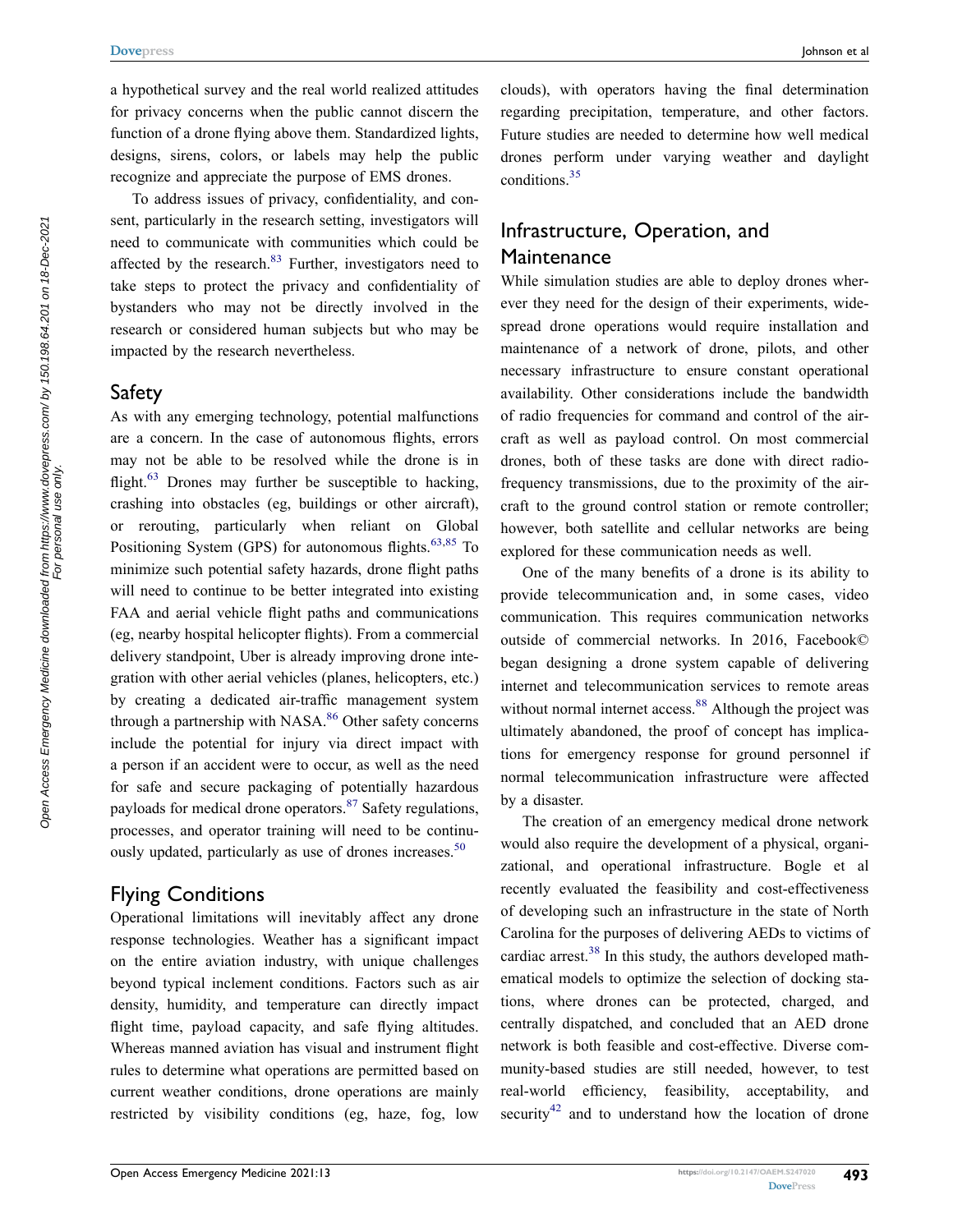a hypothetical survey and the real world realized attitudes for privacy concerns when the public cannot discern the function of a drone flying above them. Standardized lights, designs, sirens, colors, or labels may help the public recognize and appreciate the purpose of EMS drones.

To address issues of privacy, confidentiality, and consent, particularly in the research setting, investigators will need to communicate with communities which could be affected by the research.<sup>83</sup> Further, investigators need to take steps to protect the privacy and confidentiality of bystanders who may not be directly involved in the research or considered human subjects but who may be impacted by the research nevertheless.

#### Safety

As with any emerging technology, potential malfunctions are a concern. In the case of autonomous flights, errors may not be able to be resolved while the drone is in flight. $63$  Drones may further be susceptible to hacking, crashing into obstacles (eg, buildings or other aircraft), or rerouting, particularly when reliant on Global Positioning System (GPS) for autonomous flights.<sup>63,85</sup> To minimize such potential safety hazards, drone flight paths will need to continue to be better integrated into existing FAA and aerial vehicle flight paths and communications (eg, nearby hospital helicopter flights). From a commercial delivery standpoint, Uber is already improving drone integration with other aerial vehicles (planes, helicopters, etc.) by creating a dedicated air-traffic management system through a partnership with NASA.<sup>86</sup> Other safety concerns include the potential for injury via direct impact with a person if an accident were to occur, as well as the need for safe and secure packaging of potentially hazardous payloads for medical drone operators. $87$  Safety regulations, processes, and operator training will need to be continuously updated, particularly as use of drones increases.<sup>50</sup>

#### Flying Conditions

Operational limitations will inevitably affect any drone response technologies. Weather has a significant impact on the entire aviation industry, with unique challenges beyond typical inclement conditions. Factors such as air density, humidity, and temperature can directly impact flight time, payload capacity, and safe flying altitudes. Whereas manned aviation has visual and instrument flight rules to determine what operations are permitted based on current weather conditions, drone operations are mainly restricted by visibility conditions (eg, haze, fog, low

clouds), with operators having the final determination regarding precipitation, temperature, and other factors. Future studies are needed to determine how well medical drones perform under varying weather and daylight conditions.35

#### Infrastructure, Operation, and Maintenance

While simulation studies are able to deploy drones wherever they need for the design of their experiments, widespread drone operations would require installation and maintenance of a network of drone, pilots, and other necessary infrastructure to ensure constant operational availability. Other considerations include the bandwidth of radio frequencies for command and control of the aircraft as well as payload control. On most commercial drones, both of these tasks are done with direct radiofrequency transmissions, due to the proximity of the aircraft to the ground control station or remote controller; however, both satellite and cellular networks are being explored for these communication needs as well.

One of the many benefits of a drone is its ability to provide telecommunication and, in some cases, video communication. This requires communication networks outside of commercial networks. In 2016, Facebook© began designing a drone system capable of delivering internet and telecommunication services to remote areas without normal internet access.<sup>88</sup> Although the project was ultimately abandoned, the proof of concept has implications for emergency response for ground personnel if normal telecommunication infrastructure were affected by a disaster.

The creation of an emergency medical drone network would also require the development of a physical, organizational, and operational infrastructure. Bogle et al recently evaluated the feasibility and cost-effectiveness of developing such an infrastructure in the state of North Carolina for the purposes of delivering AEDs to victims of cardiac arrest.<sup>38</sup> In this study, the authors developed mathematical models to optimize the selection of docking stations, where drones can be protected, charged, and centrally dispatched, and concluded that an AED drone network is both feasible and cost-effective. Diverse community-based studies are still needed, however, to test real-world efficiency, feasibility, acceptability, and security<sup>42</sup> and to understand how the location of drone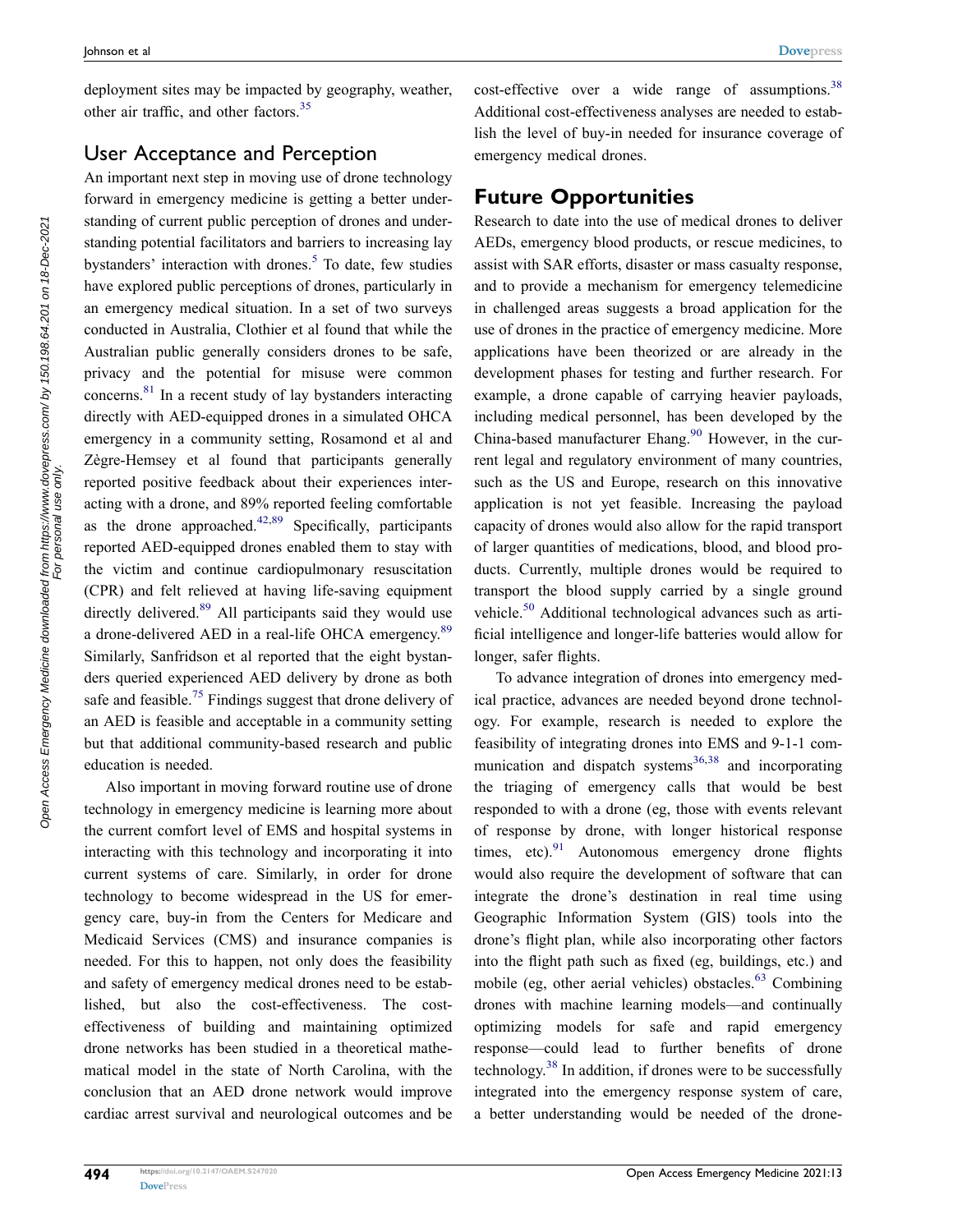deployment sites may be impacted by geography, weather, other air traffic, and other factors.<sup>35</sup>

#### User Acceptance and Perception

An important next step in moving use of drone technology forward in emergency medicine is getting a better understanding of current public perception of drones and understanding potential facilitators and barriers to increasing lay bystanders' interaction with drones.<sup>5</sup> To date, few studies have explored public perceptions of drones, particularly in an emergency medical situation. In a set of two surveys conducted in Australia, Clothier et al found that while the Australian public generally considers drones to be safe, privacy and the potential for misuse were common concerns.81 In a recent study of lay bystanders interacting directly with AED-equipped drones in a simulated OHCA emergency in a community setting, Rosamond et al and Zègre-Hemsey et al found that participants generally reported positive feedback about their experiences interacting with a drone, and 89% reported feeling comfortable as the drone approached. $42,89$  Specifically, participants reported AED-equipped drones enabled them to stay with the victim and continue cardiopulmonary resuscitation (CPR) and felt relieved at having life-saving equipment directly delivered.<sup>89</sup> All participants said they would use a drone-delivered AED in a real-life OHCA emergency.<sup>89</sup> Similarly, Sanfridson et al reported that the eight bystanders queried experienced AED delivery by drone as both safe and feasible.<sup>75</sup> Findings suggest that drone delivery of an AED is feasible and acceptable in a community setting but that additional community-based research and public education is needed.

Also important in moving forward routine use of drone technology in emergency medicine is learning more about the current comfort level of EMS and hospital systems in interacting with this technology and incorporating it into current systems of care. Similarly, in order for drone technology to become widespread in the US for emergency care, buy-in from the Centers for Medicare and Medicaid Services (CMS) and insurance companies is needed. For this to happen, not only does the feasibility and safety of emergency medical drones need to be established, but also the cost-effectiveness. The costeffectiveness of building and maintaining optimized drone networks has been studied in a theoretical mathematical model in the state of North Carolina, with the conclusion that an AED drone network would improve cardiac arrest survival and neurological outcomes and be cost-effective over a wide range of assumptions.<sup>38</sup> Additional cost-effectiveness analyses are needed to establish the level of buy-in needed for insurance coverage of emergency medical drones.

#### **Future Opportunities**

Research to date into the use of medical drones to deliver AEDs, emergency blood products, or rescue medicines, to assist with SAR efforts, disaster or mass casualty response, and to provide a mechanism for emergency telemedicine in challenged areas suggests a broad application for the use of drones in the practice of emergency medicine. More applications have been theorized or are already in the development phases for testing and further research. For example, a drone capable of carrying heavier payloads, including medical personnel, has been developed by the China-based manufacturer Ehang. $90$  However, in the current legal and regulatory environment of many countries, such as the US and Europe, research on this innovative application is not yet feasible. Increasing the payload capacity of drones would also allow for the rapid transport of larger quantities of medications, blood, and blood products. Currently, multiple drones would be required to transport the blood supply carried by a single ground vehicle.50 Additional technological advances such as artificial intelligence and longer-life batteries would allow for longer, safer flights.

To advance integration of drones into emergency medical practice, advances are needed beyond drone technology. For example, research is needed to explore the feasibility of integrating drones into EMS and 9-1-1 communication and dispatch systems $36,38$  and incorporating the triaging of emergency calls that would be best responded to with a drone (eg, those with events relevant of response by drone, with longer historical response times, etc). $91$  Autonomous emergency drone flights would also require the development of software that can integrate the drone's destination in real time using Geographic Information System (GIS) tools into the drone's flight plan, while also incorporating other factors into the flight path such as fixed (eg, buildings, etc.) and mobile (eg, other aerial vehicles) obstacles. $63$  Combining drones with machine learning models—and continually optimizing models for safe and rapid emergency response—could lead to further benefits of drone technology.<sup>38</sup> In addition, if drones were to be successfully integrated into the emergency response system of care, a better understanding would be needed of the drone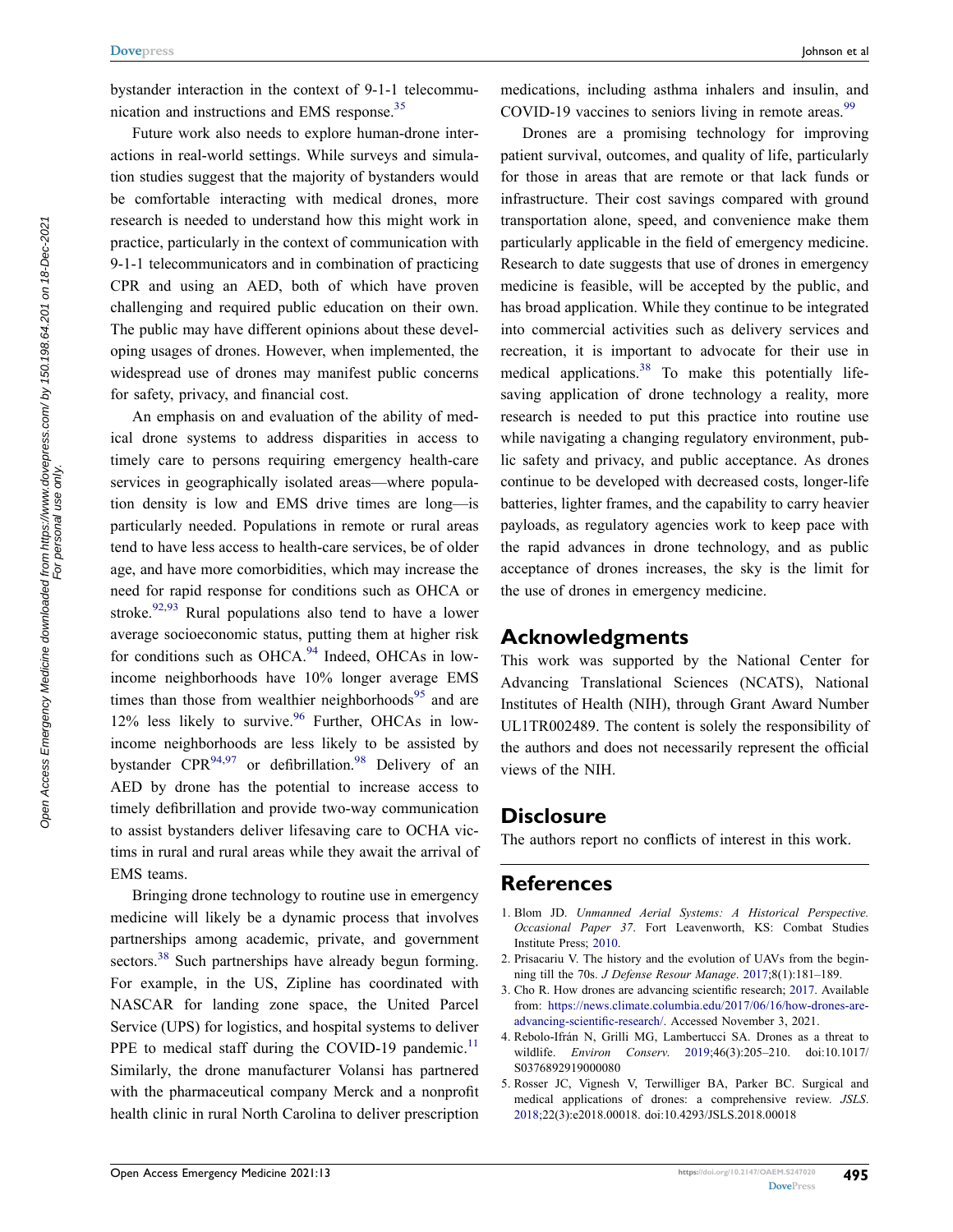bystander interaction in the context of 9-1-1 telecommunication and instructions and EMS response.35

Future work also needs to explore human-drone interactions in real-world settings. While surveys and simulation studies suggest that the majority of bystanders would be comfortable interacting with medical drones, more research is needed to understand how this might work in practice, particularly in the context of communication with 9-1-1 telecommunicators and in combination of practicing CPR and using an AED, both of which have proven challenging and required public education on their own. The public may have different opinions about these developing usages of drones. However, when implemented, the widespread use of drones may manifest public concerns for safety, privacy, and financial cost.

An emphasis on and evaluation of the ability of medical drone systems to address disparities in access to timely care to persons requiring emergency health-care services in geographically isolated areas—where population density is low and EMS drive times are long—is particularly needed. Populations in remote or rural areas tend to have less access to health-care services, be of older age, and have more comorbidities, which may increase the need for rapid response for conditions such as OHCA or stroke.<sup>92,93</sup> Rural populations also tend to have a lower average socioeconomic status, putting them at higher risk for conditions such as OHCA.<sup>94</sup> Indeed, OHCAs in lowincome neighborhoods have 10% longer average EMS times than those from wealthier neighborhoods $95$  and are  $12\%$  less likely to survive. <sup>96</sup> Further, OHCAs in lowincome neighborhoods are less likely to be assisted by bystander  $CPR^{94,97}$  or defibrillation.<sup>98</sup> Delivery of an AED by drone has the potential to increase access to timely defibrillation and provide two-way communication to assist bystanders deliver lifesaving care to OCHA victims in rural and rural areas while they await the arrival of EMS teams.

Bringing drone technology to routine use in emergency medicine will likely be a dynamic process that involves partnerships among academic, private, and government sectors.<sup>38</sup> Such partnerships have already begun forming. For example, in the US, Zipline has coordinated with NASCAR for landing zone space, the United Parcel Service (UPS) for logistics, and hospital systems to deliver PPE to medical staff during the COVID-19 pandemic.<sup>11</sup> Similarly, the drone manufacturer Volansi has partnered with the pharmaceutical company Merck and a nonprofit health clinic in rural North Carolina to deliver prescription

medications, including asthma inhalers and insulin, and COVID-19 vaccines to seniors living in remote areas.<sup>99</sup>

Drones are a promising technology for improving patient survival, outcomes, and quality of life, particularly for those in areas that are remote or that lack funds or infrastructure. Their cost savings compared with ground transportation alone, speed, and convenience make them particularly applicable in the field of emergency medicine. Research to date suggests that use of drones in emergency medicine is feasible, will be accepted by the public, and has broad application. While they continue to be integrated into commercial activities such as delivery services and recreation, it is important to advocate for their use in medical applications. $38$  To make this potentially lifesaving application of drone technology a reality, more research is needed to put this practice into routine use while navigating a changing regulatory environment, public safety and privacy, and public acceptance. As drones continue to be developed with decreased costs, longer-life batteries, lighter frames, and the capability to carry heavier payloads, as regulatory agencies work to keep pace with the rapid advances in drone technology, and as public acceptance of drones increases, the sky is the limit for the use of drones in emergency medicine.

#### **Acknowledgments**

This work was supported by the National Center for Advancing Translational Sciences (NCATS), National Institutes of Health (NIH), through Grant Award Number UL1TR002489. The content is solely the responsibility of the authors and does not necessarily represent the official views of the NIH.

#### **Disclosure**

The authors report no conflicts of interest in this work.

#### **References**

- 1. Blom JD. *Unmanned Aerial Systems: A Historical Perspective. Occasional Paper 37*. Fort Leavenworth, KS: Combat Studies Institute Press; 2010.
- 2. Prisacariu V. The history and the evolution of UAVs from the beginning till the 70s. *J Defense Resour Manage*. 2017;8(1):181–189.
- 3. Cho R. How drones are advancing scientific research; 2017. Available from: https://news.climate.columbia.edu/2017/06/16/how-drones-areadvancing-scientific-research/. Accessed November 3, 2021.
- 4. Rebolo-Ifrán N, Grilli MG, Lambertucci SA. Drones as a threat to wildlife. *Environ Conserv*. 2019;46(3):205–210. doi:10.1017/ S0376892919000080
- 5. Rosser JC, Vignesh V, Terwilliger BA, Parker BC. Surgical and medical applications of drones: a comprehensive review. *JSLS*. 2018;22(3):e2018.00018. doi:10.4293/JSLS.2018.00018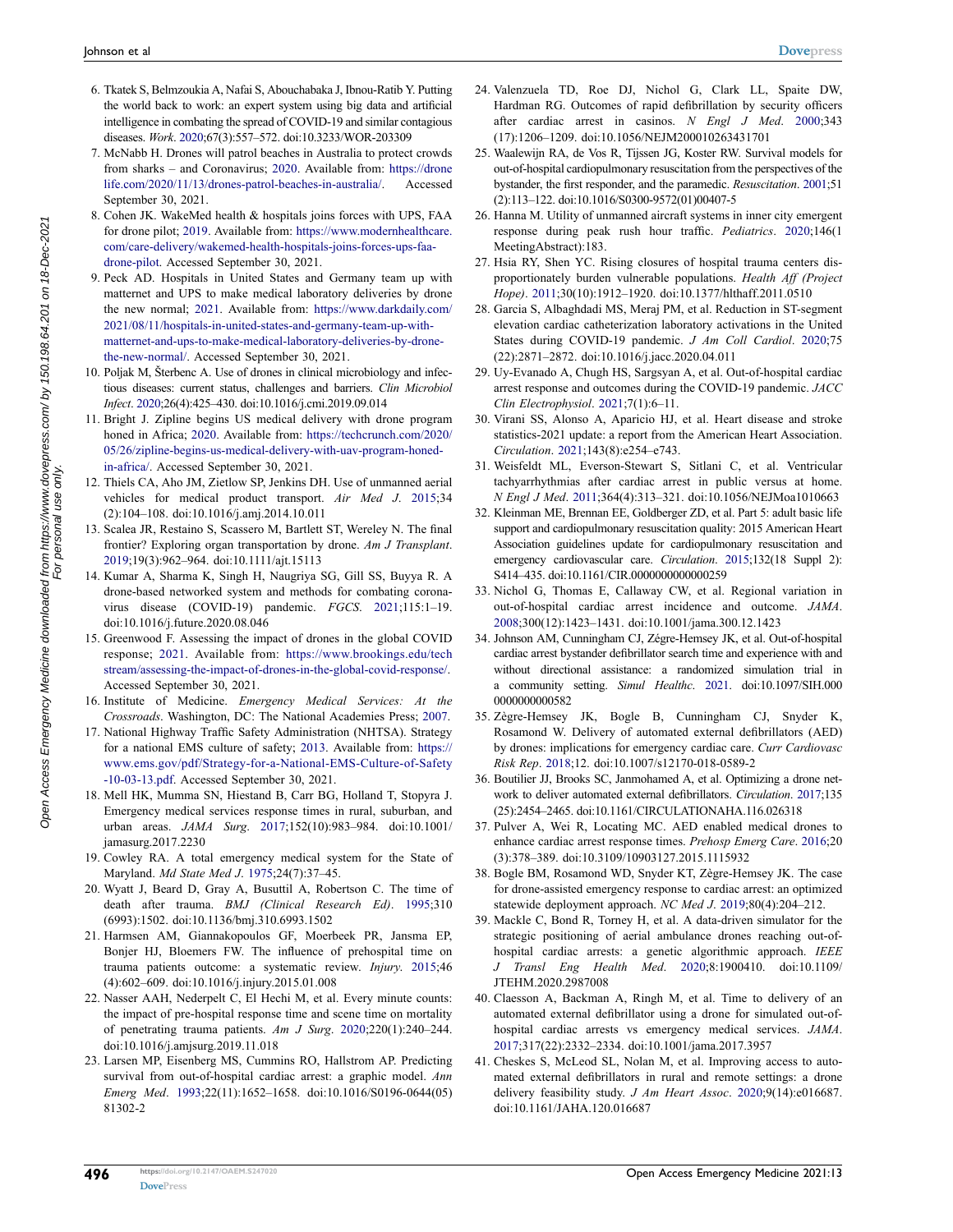- 6. Tkatek S, Belmzoukia A, Nafai S, Abouchabaka J, Ibnou-Ratib Y. Putting the world back to work: an expert system using big data and artificial intelligence in combating the spread of COVID-19 and similar contagious diseases. *Work*. 2020;67(3):557–572. doi:10.3233/WOR-203309
- 7. McNabb H. Drones will patrol beaches in Australia to protect crowds from sharks – and Coronavirus; 2020. Available from: https://drone life.com/2020/11/13/drones-patrol-beaches-in-australia/. Accessed September 30, 2021.
- 8. Cohen JK. WakeMed health & hospitals joins forces with UPS, FAA for drone pilot; 2019. Available from: https://www.modernhealthcare. com/care-delivery/wakemed-health-hospitals-joins-forces-ups-faadrone-pilot. Accessed September 30, 2021.
- 9. Peck AD. Hospitals in United States and Germany team up with matternet and UPS to make medical laboratory deliveries by drone the new normal; 2021. Available from: https://www.darkdaily.com/ 2021/08/11/hospitals-in-united-states-and-germany-team-up-withmatternet-and-ups-to-make-medical-laboratory-deliveries-by-dronethe-new-normal/. Accessed September 30, 2021.
- 10. Poljak M, Šterbenc A. Use of drones in clinical microbiology and infectious diseases: current status, challenges and barriers. *Clin Microbiol Infect*. 2020;26(4):425–430. doi:10.1016/j.cmi.2019.09.014
- 11. Bright J. Zipline begins US medical delivery with drone program honed in Africa; 2020. Available from: https://techcrunch.com/2020/ 05/26/zipline-begins-us-medical-delivery-with-uav-program-honedin-africa/. Accessed September 30, 2021.
- 12. Thiels CA, Aho JM, Zietlow SP, Jenkins DH. Use of unmanned aerial vehicles for medical product transport. *Air Med J*. 2015;34 (2):104–108. doi:10.1016/j.amj.2014.10.011
- 13. Scalea JR, Restaino S, Scassero M, Bartlett ST, Wereley N. The final frontier? Exploring organ transportation by drone. *Am J Transplant*. 2019;19(3):962–964. doi:10.1111/ajt.15113
- 14. Kumar A, Sharma K, Singh H, Naugriya SG, Gill SS, Buyya R. A drone-based networked system and methods for combating coronavirus disease (COVID-19) pandemic. *FGCS*. 2021;115:1–19. doi:10.1016/j.future.2020.08.046
- 15. Greenwood F. Assessing the impact of drones in the global COVID response; 2021. Available from: https://www.brookings.edu/tech stream/assessing-the-impact-of-drones-in-the-global-covid-response/. Accessed September 30, 2021.
- 16. Institute of Medicine. *Emergency Medical Services: At the Crossroads*. Washington, DC: The National Academies Press; 2007.
- 17. National Highway Traffic Safety Administration (NHTSA). Strategy for a national EMS culture of safety; 2013. Available from: https:// www.ems.gov/pdf/Strategy-for-a-National-EMS-Culture-of-Safety -10-03-13.pdf. Accessed September 30, 2021.
- 18. Mell HK, Mumma SN, Hiestand B, Carr BG, Holland T, Stopyra J. Emergency medical services response times in rural, suburban, and urban areas. *JAMA Surg*. 2017;152(10):983–984. doi:10.1001/ jamasurg.2017.2230
- 19. Cowley RA. A total emergency medical system for the State of Maryland. *Md State Med J*. 1975;24(7):37–45.
- 20. Wyatt J, Beard D, Gray A, Busuttil A, Robertson C. The time of death after trauma. *BMJ (Clinical Research Ed)*. 1995;310 (6993):1502. doi:10.1136/bmj.310.6993.1502
- 21. Harmsen AM, Giannakopoulos GF, Moerbeek PR, Jansma EP, Bonjer HJ, Bloemers FW. The influence of prehospital time on trauma patients outcome: a systematic review. *Injury*. 2015;46 (4):602–609. doi:10.1016/j.injury.2015.01.008
- 22. Nasser AAH, Nederpelt C, El Hechi M, et al. Every minute counts: the impact of pre-hospital response time and scene time on mortality of penetrating trauma patients. *Am J Surg*. 2020;220(1):240–244. doi:10.1016/j.amjsurg.2019.11.018
- 23. Larsen MP, Eisenberg MS, Cummins RO, Hallstrom AP. Predicting survival from out-of-hospital cardiac arrest: a graphic model. *Ann Emerg Med*. 1993;22(11):1652–1658. doi:10.1016/S0196-0644(05) 81302-2
- 24. Valenzuela TD, Roe DJ, Nichol G, Clark LL, Spaite DW, Hardman RG. Outcomes of rapid defibrillation by security officers after cardiac arrest in casinos. *N Engl J Med*. 2000;343 (17):1206–1209. doi:10.1056/NEJM200010263431701
- 25. Waalewijn RA, de Vos R, Tijssen JG, Koster RW. Survival models for out-of-hospital cardiopulmonary resuscitation from the perspectives of the bystander, the first responder, and the paramedic. *Resuscitation*. 2001;51 (2):113–122. doi:10.1016/S0300-9572(01)00407-5
- 26. Hanna M. Utility of unmanned aircraft systems in inner city emergent response during peak rush hour traffic. *Pediatrics*. 2020;146(1 MeetingAbstract):183.
- 27. Hsia RY, Shen YC. Rising closures of hospital trauma centers disproportionately burden vulnerable populations. *Health Aff (Project Hope)*. 2011;30(10):1912–1920. doi:10.1377/hlthaff.2011.0510
- 28. Garcia S, Albaghdadi MS, Meraj PM, et al. Reduction in ST-segment elevation cardiac catheterization laboratory activations in the United States during COVID-19 pandemic. *J Am Coll Cardiol*. 2020;75 (22):2871–2872. doi:10.1016/j.jacc.2020.04.011
- 29. Uy-Evanado A, Chugh HS, Sargsyan A, et al. Out-of-hospital cardiac arrest response and outcomes during the COVID-19 pandemic. *JACC Clin Electrophysiol*. 2021;7(1):6–11.
- 30. Virani SS, Alonso A, Aparicio HJ, et al. Heart disease and stroke statistics-2021 update: a report from the American Heart Association. *Circulation*. 2021;143(8):e254–e743.
- 31. Weisfeldt ML, Everson-Stewart S, Sitlani C, et al. Ventricular tachyarrhythmias after cardiac arrest in public versus at home. *N Engl J Med*. 2011;364(4):313–321. doi:10.1056/NEJMoa1010663
- 32. Kleinman ME, Brennan EE, Goldberger ZD, et al. Part 5: adult basic life support and cardiopulmonary resuscitation quality: 2015 American Heart Association guidelines update for cardiopulmonary resuscitation and emergency cardiovascular care. *Circulation*. 2015;132(18 Suppl 2): S414–435. doi:10.1161/CIR.0000000000000259
- 33. Nichol G, Thomas E, Callaway CW, et al. Regional variation in out-of-hospital cardiac arrest incidence and outcome. *JAMA*. 2008;300(12):1423–1431. doi:10.1001/jama.300.12.1423
- 34. Johnson AM, Cunningham CJ, Zégre-Hemsey JK, et al. Out-of-hospital cardiac arrest bystander defibrillator search time and experience with and without directional assistance: a randomized simulation trial in a community setting. *Simul Healthc*. 2021. doi:10.1097/SIH.000 0000000000582
- 35. Zègre-Hemsey JK, Bogle B, Cunningham CJ, Snyder K, Rosamond W. Delivery of automated external defibrillators (AED) by drones: implications for emergency cardiac care. *Curr Cardiovasc Risk Rep*. 2018;12. doi:10.1007/s12170-018-0589-2
- 36. Boutilier JJ, Brooks SC, Janmohamed A, et al. Optimizing a drone network to deliver automated external defibrillators. *Circulation*. 2017;135 (25):2454–2465. doi:10.1161/CIRCULATIONAHA.116.026318
- 37. Pulver A, Wei R, Locating MC. AED enabled medical drones to enhance cardiac arrest response times. *Prehosp Emerg Care*. 2016;20 (3):378–389. doi:10.3109/10903127.2015.1115932
- 38. Bogle BM, Rosamond WD, Snyder KT, Zègre-Hemsey JK. The case for drone-assisted emergency response to cardiac arrest: an optimized statewide deployment approach. *NC Med J*. 2019;80(4):204–212.
- 39. Mackle C, Bond R, Torney H, et al. A data-driven simulator for the strategic positioning of aerial ambulance drones reaching out-ofhospital cardiac arrests: a genetic algorithmic approach. *IEEE J Transl Eng Health Med*. 2020;8:1900410. doi:10.1109/ JTEHM.2020.2987008
- 40. Claesson A, Backman A, Ringh M, et al. Time to delivery of an automated external defibrillator using a drone for simulated out-ofhospital cardiac arrests vs emergency medical services. *JAMA*. 2017;317(22):2332–2334. doi:10.1001/jama.2017.3957
- 41. Cheskes S, McLeod SL, Nolan M, et al. Improving access to automated external defibrillators in rural and remote settings: a drone delivery feasibility study. *J Am Heart Assoc*. 2020;9(14):e016687. doi:10.1161/JAHA.120.016687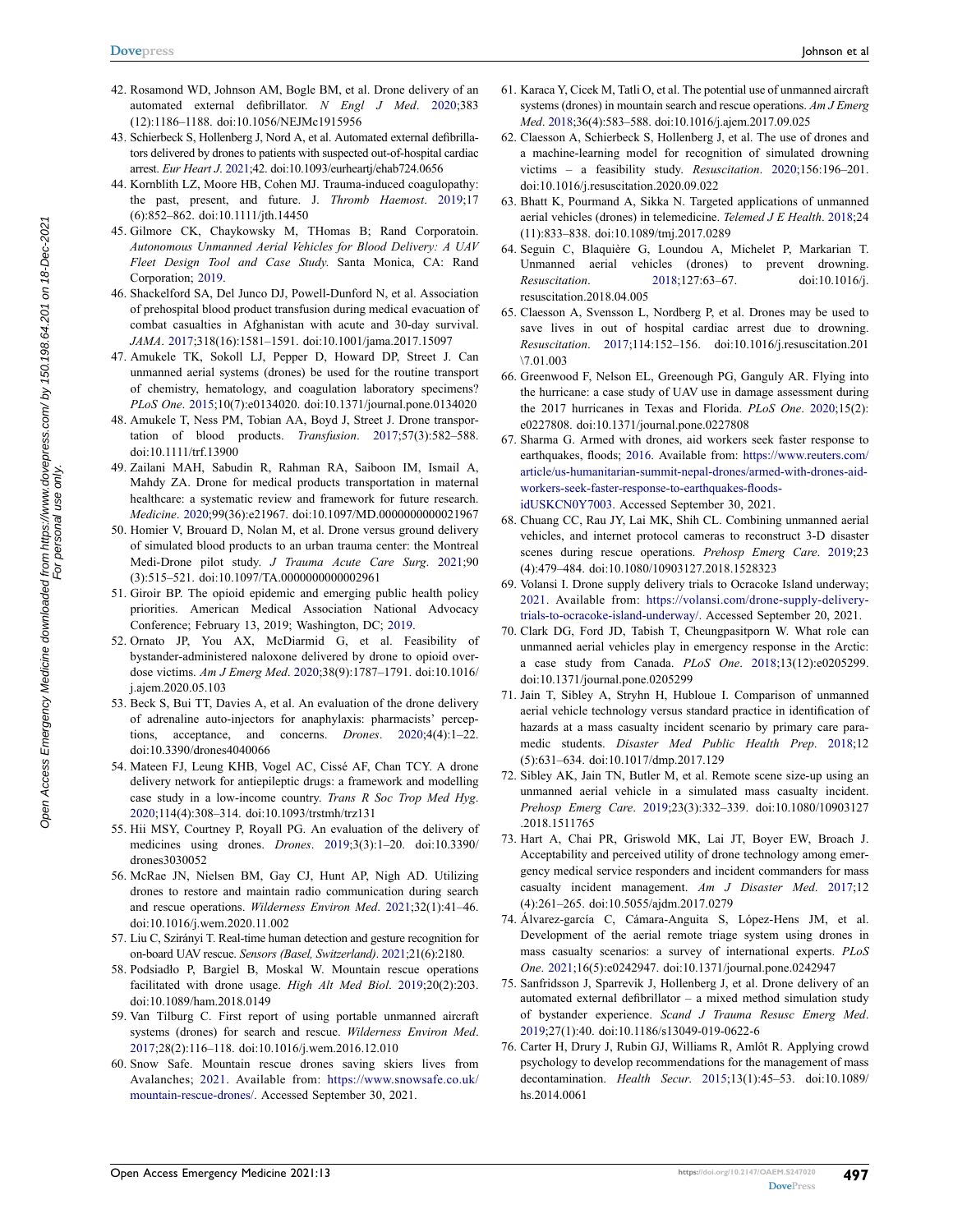- 42. Rosamond WD, Johnson AM, Bogle BM, et al. Drone delivery of an automated external defibrillator. *N Engl J Med*. 2020;383 (12):1186–1188. doi:10.1056/NEJMc1915956
- 43. Schierbeck S, Hollenberg J, Nord A, et al. Automated external defibrillators delivered by drones to patients with suspected out-of-hospital cardiac arrest. *Eur Heart J*. 2021;42. doi:10.1093/eurheartj/ehab724.0656
- 44. Kornblith LZ, Moore HB, Cohen MJ. Trauma-induced coagulopathy: the past, present, and future. J. *Thromb Haemost*. 2019;17 (6):852–862. doi:10.1111/jth.14450
- 45. Gilmore CK, Chaykowsky M, THomas B; Rand Corporatoin. *Autonomous Unmanned Aerial Vehicles for Blood Delivery: A UAV Fleet Design Tool and Case Study*. Santa Monica, CA: Rand Corporation; 2019.
- 46. Shackelford SA, Del Junco DJ, Powell-Dunford N, et al. Association of prehospital blood product transfusion during medical evacuation of combat casualties in Afghanistan with acute and 30-day survival. *JAMA*. 2017;318(16):1581–1591. doi:10.1001/jama.2017.15097
- 47. Amukele TK, Sokoll LJ, Pepper D, Howard DP, Street J. Can unmanned aerial systems (drones) be used for the routine transport of chemistry, hematology, and coagulation laboratory specimens? *PLoS One*. 2015;10(7):e0134020. doi:10.1371/journal.pone.0134020
- 48. Amukele T, Ness PM, Tobian AA, Boyd J, Street J. Drone transportation of blood products. *Transfusion*. 2017;57(3):582–588. doi:10.1111/trf.13900
- 49. Zailani MAH, Sabudin R, Rahman RA, Saiboon IM, Ismail A, Mahdy ZA. Drone for medical products transportation in maternal healthcare: a systematic review and framework for future research. *Medicine*. 2020;99(36):e21967. doi:10.1097/MD.0000000000021967
- 50. Homier V, Brouard D, Nolan M, et al. Drone versus ground delivery of simulated blood products to an urban trauma center: the Montreal Medi-Drone pilot study. *J Trauma Acute Care Surg*. 2021;90 (3):515–521. doi:10.1097/TA.0000000000002961
- 51. Giroir BP. The opioid epidemic and emerging public health policy priorities. American Medical Association National Advocacy Conference; February 13, 2019; Washington, DC; 2019.
- 52. Ornato JP, You AX, McDiarmid G, et al. Feasibility of bystander-administered naloxone delivered by drone to opioid overdose victims. *Am J Emerg Med*. 2020;38(9):1787–1791. doi:10.1016/ j.ajem.2020.05.103
- 53. Beck S, Bui TT, Davies A, et al. An evaluation of the drone delivery of adrenaline auto-injectors for anaphylaxis: pharmacists' perceptions, acceptance, and concerns. *Drones*. 2020;4(4):1–22. doi:10.3390/drones4040066
- 54. Mateen FJ, Leung KHB, Vogel AC, Cissé AF, Chan TCY. A drone delivery network for antiepileptic drugs: a framework and modelling case study in a low-income country. *Trans R Soc Trop Med Hyg*. 2020;114(4):308–314. doi:10.1093/trstmh/trz131
- 55. Hii MSY, Courtney P, Royall PG. An evaluation of the delivery of medicines using drones. *Drones*. 2019;3(3):1–20. doi:10.3390/ drones3030052
- 56. McRae JN, Nielsen BM, Gay CJ, Hunt AP, Nigh AD. Utilizing drones to restore and maintain radio communication during search and rescue operations. *Wilderness Environ Med*. 2021;32(1):41–46. doi:10.1016/j.wem.2020.11.002
- 57. Liu C, Szirányi T. Real-time human detection and gesture recognition for on-board UAV rescue. *Sensors (Basel, Switzerland)*. 2021;21(6):2180.
- 58. Podsiadło P, Bargiel B, Moskal W. Mountain rescue operations facilitated with drone usage. *High Alt Med Biol*. 2019;20(2):203. doi:10.1089/ham.2018.0149
- 59. Van Tilburg C. First report of using portable unmanned aircraft systems (drones) for search and rescue. *Wilderness Environ Med*. 2017;28(2):116–118. doi:10.1016/j.wem.2016.12.010
- 60. Snow Safe. Mountain rescue drones saving skiers lives from Avalanches; 2021. Available from: https://www.snowsafe.co.uk/ mountain-rescue-drones/. Accessed September 30, 2021.
- 61. Karaca Y, Cicek M, Tatli O, et al. The potential use of unmanned aircraft systems (drones) in mountain search and rescue operations. *Am J Emerg Med*. 2018;36(4):583–588. doi:10.1016/j.ajem.2017.09.025
- 62. Claesson A, Schierbeck S, Hollenberg J, et al. The use of drones and a machine-learning model for recognition of simulated drowning victims – a feasibility study. *Resuscitation*. 2020;156:196–201. doi:10.1016/j.resuscitation.2020.09.022
- 63. Bhatt K, Pourmand A, Sikka N. Targeted applications of unmanned aerial vehicles (drones) in telemedicine. *Telemed J E Health*. 2018;24 (11):833–838. doi:10.1089/tmj.2017.0289
- 64. Seguin C, Blaquière G, Loundou A, Michelet P, Markarian T. Unmanned aerial vehicles (drones) to prevent drowning. *Resuscitation*. 2018;127:63–67. doi:10.1016/j. resuscitation.2018.04.005
- 65. Claesson A, Svensson L, Nordberg P, et al. Drones may be used to save lives in out of hospital cardiac arrest due to drowning. *Resuscitation*. 2017;114:152–156. doi:10.1016/j.resuscitation.201 \7.01.003
- 66. Greenwood F, Nelson EL, Greenough PG, Ganguly AR. Flying into the hurricane: a case study of UAV use in damage assessment during the 2017 hurricanes in Texas and Florida. *PLoS One*. 2020;15(2): e0227808. doi:10.1371/journal.pone.0227808
- 67. Sharma G. Armed with drones, aid workers seek faster response to earthquakes, floods; 2016. Available from: https://www.reuters.com/ article/us-humanitarian-summit-nepal-drones/armed-with-drones-aidworkers-seek-faster-response-to-earthquakes-floodsidUSKCN0Y7003. Accessed September 30, 2021.
- 68. Chuang CC, Rau JY, Lai MK, Shih CL. Combining unmanned aerial vehicles, and internet protocol cameras to reconstruct 3-D disaster scenes during rescue operations. *Prehosp Emerg Care*. 2019;23 (4):479–484. doi:10.1080/10903127.2018.1528323
- 69. Volansi I. Drone supply delivery trials to Ocracoke Island underway; 2021. Available from: https://volansi.com/drone-supply-deliverytrials-to-ocracoke-island-underway/. Accessed September 20, 2021.
- 70. Clark DG, Ford JD, Tabish T, Cheungpasitporn W. What role can unmanned aerial vehicles play in emergency response in the Arctic: a case study from Canada. *PLoS One*. 2018;13(12):e0205299. doi:10.1371/journal.pone.0205299
- 71. Jain T, Sibley A, Stryhn H, Hubloue I. Comparison of unmanned aerial vehicle technology versus standard practice in identification of hazards at a mass casualty incident scenario by primary care paramedic students. *Disaster Med Public Health Prep*. 2018;12 (5):631–634. doi:10.1017/dmp.2017.129
- 72. Sibley AK, Jain TN, Butler M, et al. Remote scene size-up using an unmanned aerial vehicle in a simulated mass casualty incident. *Prehosp Emerg Care*. 2019;23(3):332–339. doi:10.1080/10903127 .2018.1511765
- 73. Hart A, Chai PR, Griswold MK, Lai JT, Boyer EW, Broach J. Acceptability and perceived utility of drone technology among emergency medical service responders and incident commanders for mass casualty incident management. *Am J Disaster Med*. 2017;12 (4):261–265. doi:10.5055/ajdm.2017.0279
- 74. Álvarez-garcía C, Cámara-Anguita S, López-Hens JM, et al. Development of the aerial remote triage system using drones in mass casualty scenarios: a survey of international experts. *PLoS One*. 2021;16(5):e0242947. doi:10.1371/journal.pone.0242947
- 75. Sanfridsson J, Sparrevik J, Hollenberg J, et al. Drone delivery of an automated external defibrillator – a mixed method simulation study of bystander experience. *Scand J Trauma Resusc Emerg Med*. 2019;27(1):40. doi:10.1186/s13049-019-0622-6
- 76. Carter H, Drury J, Rubin GJ, Williams R, Amlôt R. Applying crowd psychology to develop recommendations for the management of mass decontamination. *Health Secur*. 2015;13(1):45–53. doi:10.1089/ hs.2014.0061